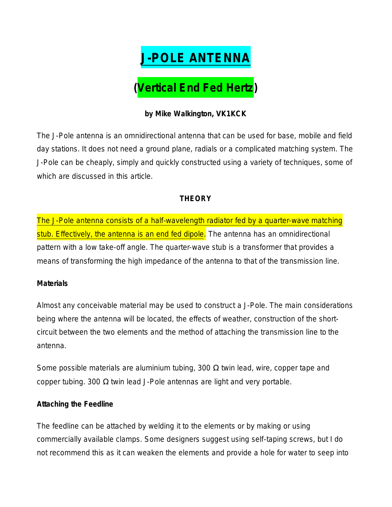

## **by Mike Walkington, VK1KCK**

The J-Pole antenna is an omnidirectional antenna that can be used for base, mobile and field day stations. It does not need a ground plane, radials or a complicated matching system. The J-Pole can be cheaply, simply and quickly constructed using a variety of techniques, some of which are discussed in this article.

# **THEORY**

The J-Pole antenna consists of a half-wavelength radiator fed by a quarter-wave matching stub. Effectively, the antenna is an end fed dipole. The antenna has an omnidirectional pattern with a low take-off angle. The quarter-wave stub is a transformer that provides a means of transforming the high impedance of the antenna to that of the transmission line.

#### **Materials**

Almost any conceivable material may be used to construct a J-Pole. The main considerations being where the antenna will be located, the effects of weather, construction of the shortcircuit between the two elements and the method of attaching the transmission line to the antenna.

Some possible materials are aluminium tubing, 300  $\Omega$  twin lead, wire, copper tape and copper tubing. 300 Ω twin lead J-Pole antennas are light and very portable.

#### **Attaching the Feedline**

The feedline can be attached by welding it to the elements or by making or using commercially available clamps. Some designers suggest using self-taping screws, but I do not recommend this as it can weaken the elements and provide a hole for water to seep into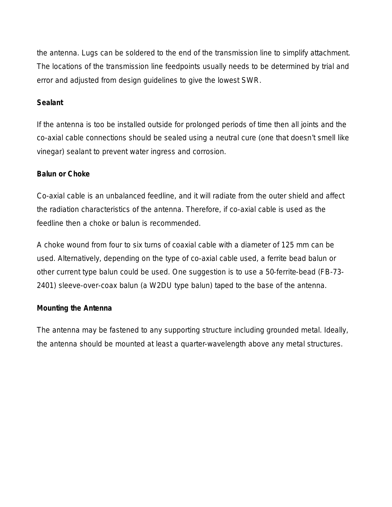the antenna. Lugs can be soldered to the end of the transmission line to simplify attachment. The locations of the transmission line feedpoints usually needs to be determined by trial and error and adjusted from design guidelines to give the lowest SWR.

## **Sealant**

If the antenna is too be installed outside for prolonged periods of time then all joints and the co-axial cable connections should be sealed using a neutral cure (one that doesn't smell like vinegar) sealant to prevent water ingress and corrosion.

## **Balun or Choke**

Co-axial cable is an unbalanced feedline, and it will radiate from the outer shield and affect the radiation characteristics of the antenna. Therefore, if co-axial cable is used as the feedline then a choke or balun is recommended.

A choke wound from four to six turns of coaxial cable with a diameter of 125 mm can be used. Alternatively, depending on the type of co-axial cable used, a ferrite bead balun or other current type balun could be used. One suggestion is to use a 50-ferrite-bead (FB-73- 2401) sleeve-over-coax balun (a W2DU type balun) taped to the base of the antenna.

## **Mounting the Antenna**

The antenna may be fastened to any supporting structure including grounded metal. Ideally, the antenna should be mounted at least a quarter-wavelength above any metal structures.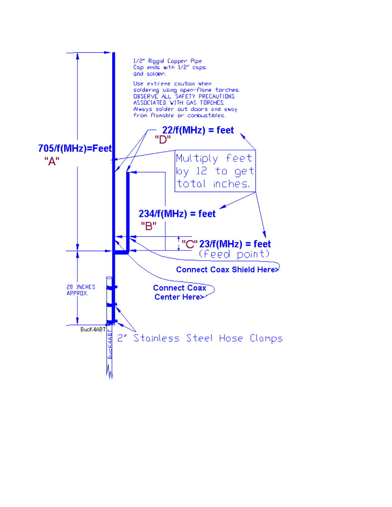